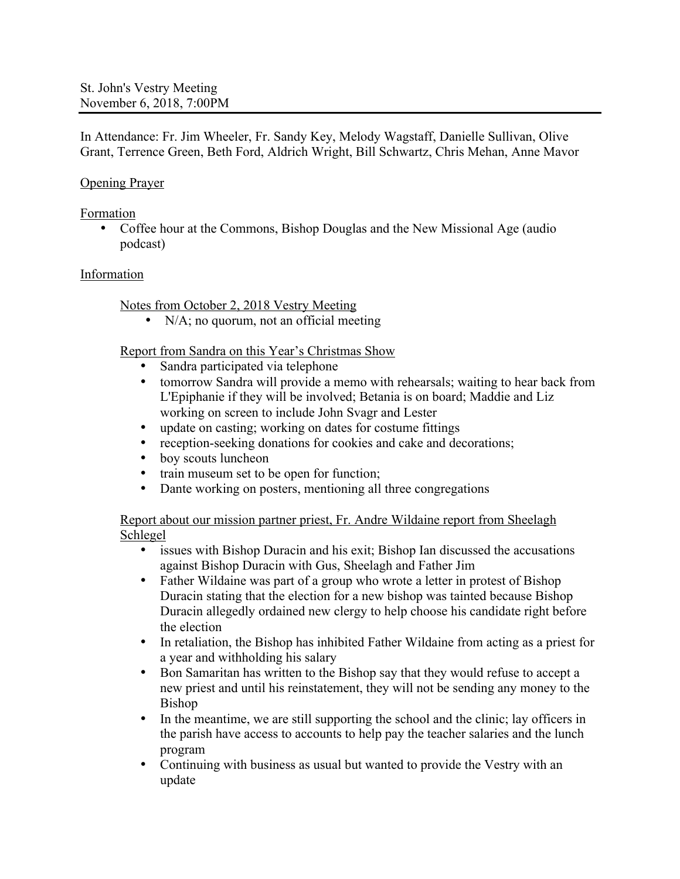In Attendance: Fr. Jim Wheeler, Fr. Sandy Key, Melody Wagstaff, Danielle Sullivan, Olive Grant, Terrence Green, Beth Ford, Aldrich Wright, Bill Schwartz, Chris Mehan, Anne Mavor

## Opening Prayer

Formation

• Coffee hour at the Commons, Bishop Douglas and the New Missional Age (audio) podcast)

#### Information

Notes from October 2, 2018 Vestry Meeting

• N/A; no quorum, not an official meeting

Report from Sandra on this Year's Christmas Show

- Sandra participated via telephone
- tomorrow Sandra will provide a memo with rehearsals; waiting to hear back from L'Epiphanie if they will be involved; Betania is on board; Maddie and Liz working on screen to include John Svagr and Lester
- update on casting; working on dates for costume fittings
- reception-seeking donations for cookies and cake and decorations;<br>• bov scouts luncheon
- boy scouts luncheon
- train museum set to be open for function;
- Dante working on posters, mentioning all three congregations

Report about our mission partner priest, Fr. Andre Wildaine report from Sheelagh Schlegel

- issues with Bishop Duracin and his exit; Bishop Ian discussed the accusations against Bishop Duracin with Gus, Sheelagh and Father Jim
- Father Wildaine was part of a group who wrote a letter in protest of Bishop Duracin stating that the election for a new bishop was tainted because Bishop Duracin allegedly ordained new clergy to help choose his candidate right before the election
- In retaliation, the Bishop has inhibited Father Wildaine from acting as a priest for a year and withholding his salary
- Bon Samaritan has written to the Bishop say that they would refuse to accept a new priest and until his reinstatement, they will not be sending any money to the Bishop
- In the meantime, we are still supporting the school and the clinic; lay officers in the parish have access to accounts to help pay the teacher salaries and the lunch program
- Continuing with business as usual but wanted to provide the Vestry with an update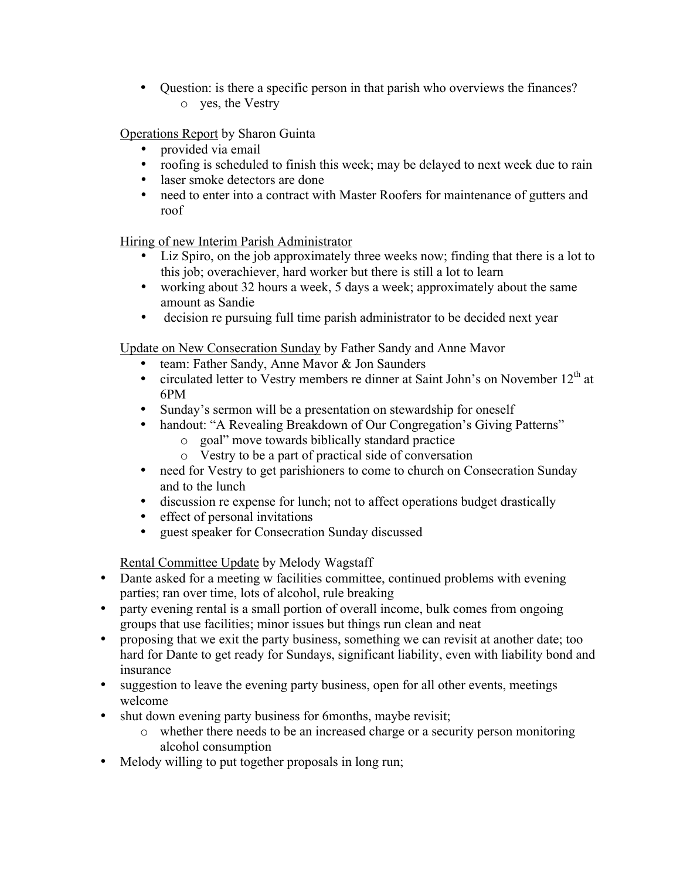• Question: is there a specific person in that parish who overviews the finances? o yes, the Vestry

Operations Report by Sharon Guinta

- provided via email
- roofing is scheduled to finish this week; may be delayed to next week due to rain
- laser smoke detectors are done<br>• need to enter into a contract with
- need to enter into a contract with Master Roofers for maintenance of gutters and roof

Hiring of new Interim Parish Administrator

- Liz Spiro, on the job approximately three weeks now; finding that there is a lot to this job; overachiever, hard worker but there is still a lot to learn
- working about 32 hours a week, 5 days a week; approximately about the same amount as Sandie
- decision re pursuing full time parish administrator to be decided next year

Update on New Consecration Sunday by Father Sandy and Anne Mavor

- team: Father Sandy, Anne Mavor & Jon Saunders
- circulated letter to Vestry members re dinner at Saint John's on November  $12<sup>th</sup>$  at 6PM
- Sunday's sermon will be a presentation on stewardship for oneself
- handout: "A Revealing Breakdown of Our Congregation's Giving Patterns"
	- o goal" move towards biblically standard practice
	- o Vestry to be a part of practical side of conversation
- need for Vestry to get parishioners to come to church on Consecration Sunday and to the lunch
- discussion re expense for lunch; not to affect operations budget drastically
- effect of personal invitations<br>• guest speaker for Consecration
- guest speaker for Consecration Sunday discussed

Rental Committee Update by Melody Wagstaff

- Dante asked for a meeting w facilities committee, continued problems with evening parties; ran over time, lots of alcohol, rule breaking
- party evening rental is a small portion of overall income, bulk comes from ongoing groups that use facilities; minor issues but things run clean and neat
- proposing that we exit the party business, something we can revisit at another date; too hard for Dante to get ready for Sundays, significant liability, even with liability bond and insurance
- suggestion to leave the evening party business, open for all other events, meetings welcome
- shut down evening party business for 6months, maybe revisit;
	- o whether there needs to be an increased charge or a security person monitoring alcohol consumption
- Melody willing to put together proposals in long run;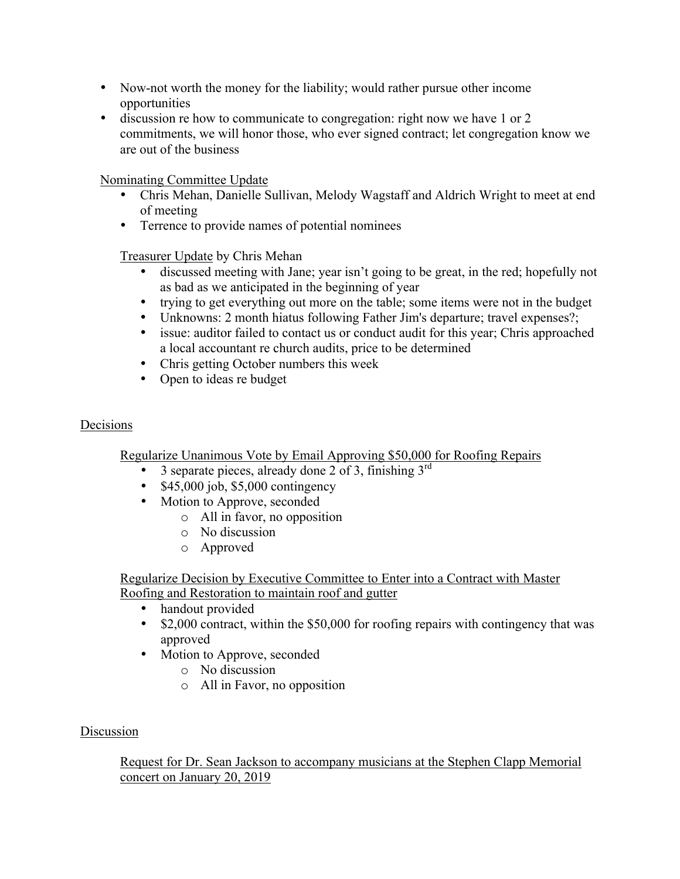- Now-not worth the money for the liability; would rather pursue other income opportunities
- discussion re how to communicate to congregation: right now we have 1 or 2 commitments, we will honor those, who ever signed contract; let congregation know we are out of the business

Nominating Committee Update

- Chris Mehan, Danielle Sullivan, Melody Wagstaff and Aldrich Wright to meet at end of meeting
- Terrence to provide names of potential nominees

Treasurer Update by Chris Mehan

- discussed meeting with Jane; year isn't going to be great, in the red; hopefully not as bad as we anticipated in the beginning of year
- trying to get everything out more on the table; some items were not in the budget
- Unknowns: 2 month hiatus following Father Jim's departure; travel expenses?;
- issue: auditor failed to contact us or conduct audit for this year; Chris approached a local accountant re church audits, price to be determined
- Chris getting October numbers this week
- Open to ideas re budget

# Decisions

Regularize Unanimous Vote by Email Approving \$50,000 for Roofing Repairs

- 3 separate pieces, already done 2 of 3, finishing  $3^{\text{rd}}$
- $$45,000$  job,  $$5,000$  contingency
- Motion to Approve, seconded
	- o All in favor, no opposition
	- o No discussion
	- o Approved

Regularize Decision by Executive Committee to Enter into a Contract with Master Roofing and Restoration to maintain roof and gutter

- handout provided
- \$2,000 contract, within the \$50,000 for roofing repairs with contingency that was approved
- Motion to Approve, seconded
	- o No discussion
	- o All in Favor, no opposition

### Discussion

Request for Dr. Sean Jackson to accompany musicians at the Stephen Clapp Memorial concert on January 20, 2019